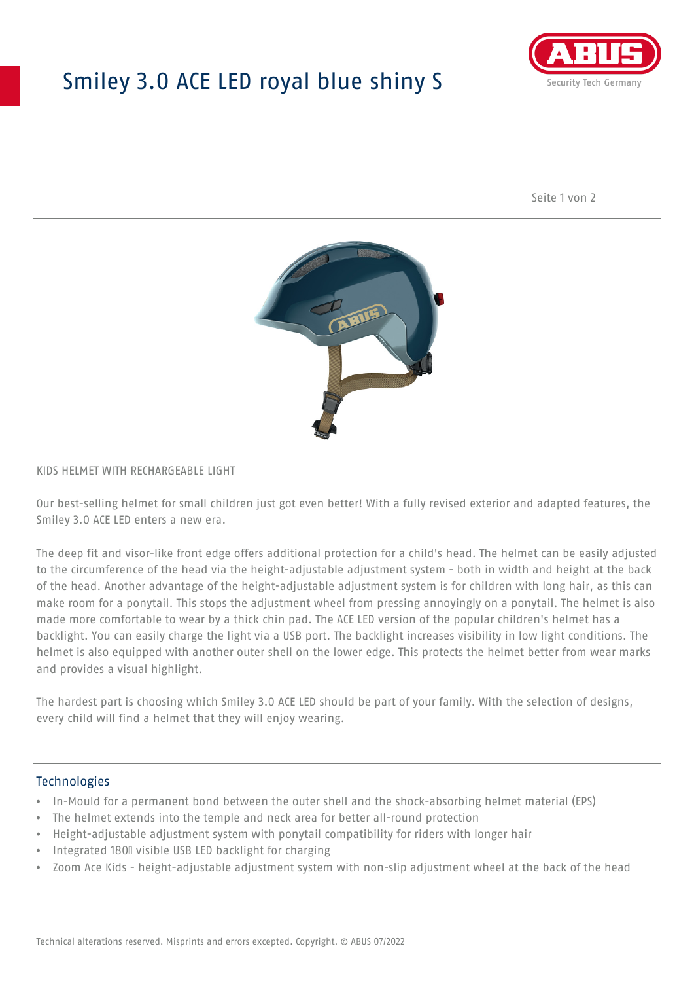# Smiley 3.0 ACE LED royal blue shiny S



Seite 1 von 2



### KIDS HELMET WITH RECHARGEABLE LIGHT

Our best-selling helmet for small children just got even better! With a fully revised exterior and adapted features, the Smiley 3.0 ACE LED enters a new era.

The deep fit and visor-like front edge offers additional protection for a child's head. The helmet can be easily adjusted to the circumference of the head via the height-adjustable adjustment system - both in width and height at the back of the head. Another advantage of the height-adjustable adjustment system is for children with long hair, as this can make room for a ponytail. This stops the adjustment wheel from pressing annoyingly on a ponytail. The helmet is also made more comfortable to wear by a thick chin pad. The ACE LED version of the popular children's helmet has a backlight. You can easily charge the light via a USB port. The backlight increases visibility in low light conditions. The helmet is also equipped with another outer shell on the lower edge. This protects the helmet better from wear marks and provides a visual highlight.

The hardest part is choosing which Smiley 3.0 ACE LED should be part of your family. With the selection of designs, every child will find a helmet that they will enjoy wearing.

### **Technologies**

- In-Mould for a permanent bond between the outer shell and the shock-absorbing helmet material (EPS)
- The helmet extends into the temple and neck area for better all-round protection
- Height-adjustable adjustment system with ponytail compatibility for riders with longer hair
- Integrated 180⁰ visible USB LED backlight for charging
- Zoom Ace Kids height-adjustable adjustment system with non-slip adjustment wheel at the back of the head